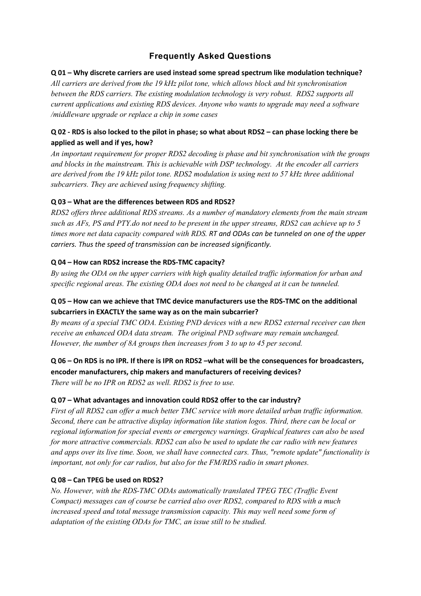# **Frequently Asked Questions**

#### **Q 01 – Why discrete carriers are used instead some spread spectrum like modulation technique?**

*All carriers are derived from the 19 kHz pilot tone, which allows block and bit synchronisation between the RDS carriers. The existing modulation technology is very robust. RDS2 supports all current applications and existing RDS devices. Anyone who wants to upgrade may need a software /middleware upgrade or replace a chip in some cases*

## **Q 02 - RDS is also locked to the pilot in phase; so what about RDS2 – can phase locking there be applied as well and if yes, how?**

*An important requirement for proper RDS2 decoding is phase and bit synchronisation with the groups and blocks in the mainstream. This is achievable with DSP technology. At the encoder all carriers are derived from the 19 kHz pilot tone. RDS2 modulation is using next to 57 kHz three additional subcarriers. They are achieved using frequency shifting.*

## **Q 03 – What are the differences between RDS and RDS2?**

*RDS2 offers three additional RDS streams. As a number of mandatory elements from the main stream such as AFs, PS and PTY.do not need to be present in the upper streams, RDS2 can achieve up to 5 times more net data capacity compared with RDS. RT and ODAs can be tunneled on one of the upper carriers. Thus the speed of transmission can be increased significantly.*

## **Q 04 – How can RDS2 increase the RDS-TMC capacity?**

*By using the ODA on the upper carriers with high quality detailed traffic information for urban and specific regional areas. The existing ODA does not need to be changed at it can be tunneled.*

## **Q 05 – How can we achieve that TMC device manufacturers use the RDS-TMC on the additional subcarriers in EXACTLY the same way as on the main subcarrier?**

*By means of a special TMC ODA. Existing PND devices with a new RDS2 external receiver can then receive an enhanced ODA data stream. The original PND software may remain unchanged. However, the number of 8A groups then increases from 3 to up to 45 per second.*

## **Q 06 – On RDS is no IPR. If there is IPR on RDS2 –what will be the consequences for broadcasters, encoder manufacturers, chip makers and manufacturers of receiving devices?**

*There will be no IPR on RDS2 as well. RDS2 is free to use.*

## **Q 07 – What advantages and innovation could RDS2 offer to the car industry?**

*First of all RDS2 can offer a much better TMC service with more detailed urban traffic information. Second, there can be attractive display information like station logos. Third, there can be local or regional information for special events or emergency warnings. Graphical features can also be used for more attractive commercials. RDS2 can also be used to update the car radio with new features and apps over its live time. Soon, we shall have connected cars. Thus, "remote update" functionality is important, not only for car radios, but also for the FM/RDS radio in smart phones.*

## **Q 08 – Can TPEG be used on RDS2?**

*No. However, with the RDS-TMC ODAs automatically translated TPEG TEC (Traffic Event Compact) messages can of course be carried also over RDS2, compared to RDS with a much increased speed and total message transmission capacity. This may well need some form of adaptation of the existing ODAs for TMC, an issue still to be studied.*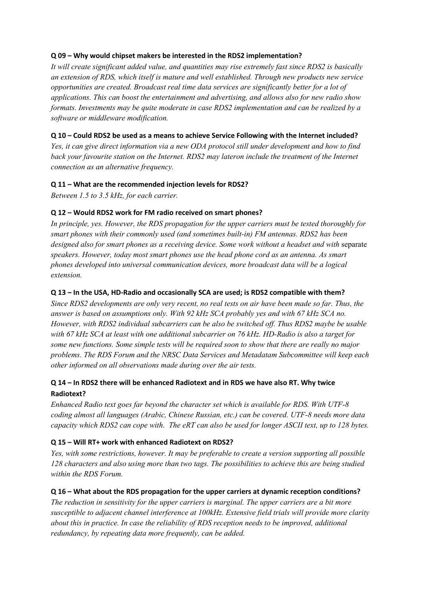#### **Q 09 – Why would chipset makers be interested in the RDS2 implementation?**

*It will create significant added value, and quantities may rise extremely fast since RDS2 is basically an extension of RDS, which itself is mature and well established. Through new products new service opportunities are created. Broadcast real time data services are significantly better for a lot of applications. This can boost the entertainment and advertising, and allows also for new radio show formats. Investments may be quite moderate in case RDS2 implementation and can be realized by a software or middleware modification.*

#### **Q 10 – Could RDS2 be used as a means to achieve Service Following with the Internet included?**

*Yes, it can give direct information via a new ODA protocol still under development and how to find back your favourite station on the Internet. RDS2 may lateron include the treatment of the Internet connection as an alternative frequency.* 

#### **Q 11 – What are the recommended injection levels for RDS2?**

*Between 1.5 to 3.5 kHz, for each carrier.*

## **Q 12 – Would RDS2 work for FM radio received on smart phones?**

*In principle, yes. However, the RDS propagation for the upper carriers must be tested thoroughly for smart phones with their commonly used (and sometimes built-in) FM antennas. RDS2 has been*  designed also for smart phones as a receiving device. Some work without a headset and with separate *speakers. However, today most smart phones use the head phone cord as an antenna. As smart phones developed into universal communication devices, more broadcast data will be a logical extension.*

#### **Q 13 – In the USA, HD-Radio and occasionally SCA are used; is RDS2 compatible with them?**

*Since RDS2 developments are only very recent, no real tests on air have been made so far. Thus, the answer is based on assumptions only. With 92 kHz SCA probably yes and with 67 kHz SCA no. However, with RDS2 individual subcarriers can be also be switched off. Thus RDS2 maybe be usable with 67 kHz SCA at least with one additional subcarrier on 76 kHz. HD-Radio is also a target for some new functions. Some simple tests will be required soon to show that there are really no major problems. The RDS Forum and the NRSC Data Services and Metadatam Subcommittee will keep each other informed on all observations made during over the air tests.*

## **Q 14 – In RDS2 there will be enhanced Radiotext and in RDS we have also RT. Why twice Radiotext?**

*Enhanced Radio text goes far beyond the character set which is available for RDS. With UTF-8 coding almost all languages (Arabic, Chinese Russian, etc.) can be covered. UTF-8 needs more data capacity which RDS2 can cope with. The eRT can also be used for longer ASCII text, up to 128 bytes.*

## **Q 15 – Will RT+ work with enhanced Radiotext on RDS2?**

*Yes, with some restrictions, however. It may be preferable to create a version supporting all possible 128 characters and also using more than two tags. The possibilities to achieve this are being studied within the RDS Forum.*

## **Q 16 – What about the RDS propagation for the upper carriers at dynamic reception conditions?**

*The reduction in sensitivity for the upper carriers is marginal. The upper carriers are a bit more susceptible to adjacent channel interference at 100kHz. Extensive field trials will provide more clarity about this in practice. In case the reliability of RDS reception needs to be improved, additional redundancy, by repeating data more frequently, can be added.*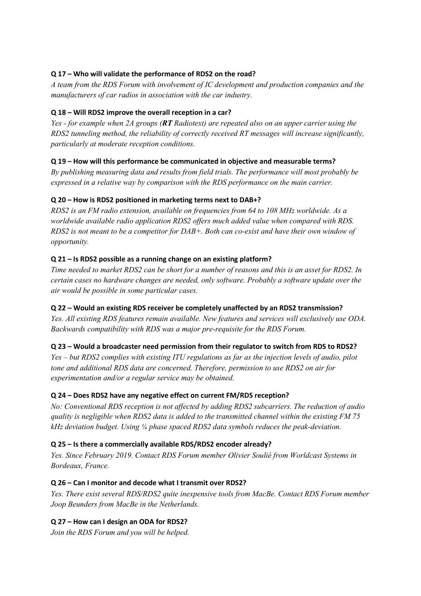## **Q 17 – Who will validate the performance of RDS2 on the road?**

*A team from the RDS Forum with involvement of IC development and production companies and the manufacturers of car radios in association with the car industry.* 

## **Q 18 – Will RDS2 improve the overall reception in a car?**

*Yes - for example when 2A groups (RT Radiotext) are repeated also on an upper carrier using the RDS2 tunneling method, the reliability of correctly received RT messages will increase significantly, particularly at moderate reception conditions.*

## **Q 19 – How will this performance be communicated in objective and measurable terms?**

*By publishing measuring data and results from field trials. The performance will most probably be expressed in a relative way by comparison with the RDS performance on the main carrier.*

## **Q 20 – How is RDS2 positioned in marketing terms next to DAB+?**

*RDS2 is an FM radio extension, available on frequencies from 64 to 108 MHz worldwide. As a worldwide available radio application RDS2 offers much added value when compared with RDS. RDS2 is not meant to be a competitor for DAB+. Both can co-exist and have their own window of opportunity.*

## **Q 21 – Is RDS2 possible as a running change on an existing platform?**

*Time needed to market RDS2 can be short for a number of reasons and this is an asset for RDS2. In certain cases no hardware changes are needed, only software. Probably a software update over the air would be possible in some particular cases.* 

## **Q 22 – Would an existing RDS receiver be completely unaffected by an RDS2 transmission?**

*Yes. All existing RDS features remain available. New features and services will exclusively use ODA. Backwards compatibility with RDS was a major pre-requisite for the RDS Forum.*

## **Q 23 – Would a broadcaster need permission from their regulator to switch from RDS to RDS2?**

*Yes – but RDS2 complies with existing ITU regulations as far as the injection levels of audio, pilot tone and additional RDS data are concerned. Therefore, permission to use RDS2 on air for experimentation and/or a regular service may be obtained.*

## **Q 24 – Does RDS2 have any negative effect on current FM/RDS reception?**

*No: Conventional RDS reception is not affected by adding RDS2 subcarriers. The reduction of audio quality is negligible when RDS2 data is added to the transmitted channel within the existing FM 75 kHz deviation budget. Using ¼ phase spaced RDS2 data symbols reduces the peak-deviation.*

## **Q 25 – Is there a commercially available RDS/RDS2 encoder already?**

*Yes. Since February 2019. Contact RDS Forum member Olivier Soulié from Worldcast Systems in Bordeaux, France.*

## **Q 26 – Can I monitor and decode what I transmit over RDS2?**

*Yes. There exist several RDS/RDS2 quite inexpensive tools from MacBe. Contact RDS Forum member Joop Beunders from MacBe in the Netherlands.*

## **Q 27 – How can I design an ODA for RDS2?**

*Join the RDS Forum and you will be helped.*